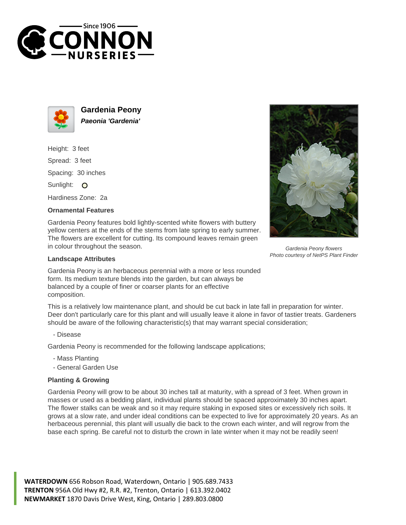



**Gardenia Peony Paeonia 'Gardenia'**

Height: 3 feet Spread: 3 feet Spacing: 30 inches Sunlight: O

Hardiness Zone: 2a

## **Ornamental Features**

Gardenia Peony features bold lightly-scented white flowers with buttery yellow centers at the ends of the stems from late spring to early summer. The flowers are excellent for cutting. Its compound leaves remain green in colour throughout the season.



Gardenia Peony flowers Photo courtesy of NetPS Plant Finder

## **Landscape Attributes**

Gardenia Peony is an herbaceous perennial with a more or less rounded form. Its medium texture blends into the garden, but can always be balanced by a couple of finer or coarser plants for an effective composition.

This is a relatively low maintenance plant, and should be cut back in late fall in preparation for winter. Deer don't particularly care for this plant and will usually leave it alone in favor of tastier treats. Gardeners should be aware of the following characteristic(s) that may warrant special consideration;

- Disease

Gardenia Peony is recommended for the following landscape applications;

- Mass Planting
- General Garden Use

## **Planting & Growing**

Gardenia Peony will grow to be about 30 inches tall at maturity, with a spread of 3 feet. When grown in masses or used as a bedding plant, individual plants should be spaced approximately 30 inches apart. The flower stalks can be weak and so it may require staking in exposed sites or excessively rich soils. It grows at a slow rate, and under ideal conditions can be expected to live for approximately 20 years. As an herbaceous perennial, this plant will usually die back to the crown each winter, and will regrow from the base each spring. Be careful not to disturb the crown in late winter when it may not be readily seen!

**WATERDOWN** 656 Robson Road, Waterdown, Ontario | 905.689.7433 **TRENTON** 956A Old Hwy #2, R.R. #2, Trenton, Ontario | 613.392.0402 **NEWMARKET** 1870 Davis Drive West, King, Ontario | 289.803.0800